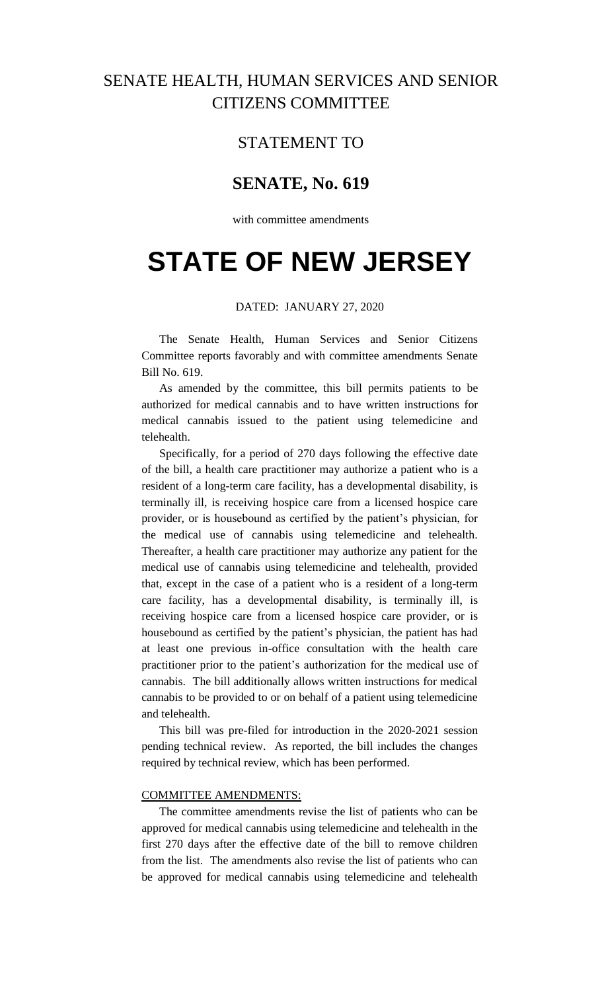## SENATE HEALTH, HUMAN SERVICES AND SENIOR CITIZENS COMMITTEE

### STATEMENT TO

## **SENATE, No. 619**

with committee amendments

# **STATE OF NEW JERSEY**

### DATED: JANUARY 27, 2020

The Senate Health, Human Services and Senior Citizens Committee reports favorably and with committee amendments Senate Bill No. 619.

As amended by the committee, this bill permits patients to be authorized for medical cannabis and to have written instructions for medical cannabis issued to the patient using telemedicine and telehealth.

Specifically, for a period of 270 days following the effective date of the bill, a health care practitioner may authorize a patient who is a resident of a long-term care facility, has a developmental disability, is terminally ill, is receiving hospice care from a licensed hospice care provider, or is housebound as certified by the patient's physician, for the medical use of cannabis using telemedicine and telehealth. Thereafter, a health care practitioner may authorize any patient for the medical use of cannabis using telemedicine and telehealth, provided that, except in the case of a patient who is a resident of a long-term care facility, has a developmental disability, is terminally ill, is receiving hospice care from a licensed hospice care provider, or is housebound as certified by the patient's physician, the patient has had at least one previous in-office consultation with the health care practitioner prior to the patient's authorization for the medical use of cannabis. The bill additionally allows written instructions for medical cannabis to be provided to or on behalf of a patient using telemedicine and telehealth.

This bill was pre-filed for introduction in the 2020-2021 session pending technical review. As reported, the bill includes the changes required by technical review, which has been performed.

#### COMMITTEE AMENDMENTS:

The committee amendments revise the list of patients who can be approved for medical cannabis using telemedicine and telehealth in the first 270 days after the effective date of the bill to remove children from the list. The amendments also revise the list of patients who can be approved for medical cannabis using telemedicine and telehealth